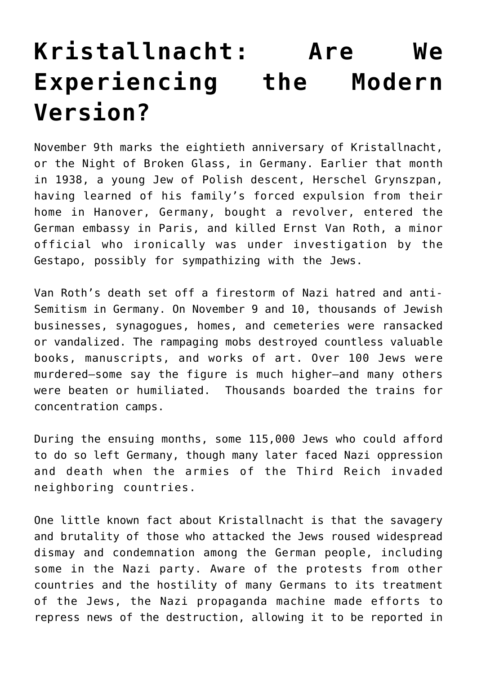## **[Kristallnacht: Are We](https://intellectualtakeout.org/2018/11/kristallnacht-are-we-experiencing-the-modern-version/) [Experiencing the Modern](https://intellectualtakeout.org/2018/11/kristallnacht-are-we-experiencing-the-modern-version/) [Version?](https://intellectualtakeout.org/2018/11/kristallnacht-are-we-experiencing-the-modern-version/)**

November 9th marks the eightieth anniversary of Kristallnacht, or the Night of Broken Glass, in Germany. Earlier that month in 1938, a young Jew of Polish descent, Herschel Grynszpan, having learned of his family's forced expulsion from their home in Hanover, Germany, bought a revolver, entered the German embassy in Paris, and killed Ernst Van Roth, a minor official who ironically was under investigation by the Gestapo, possibly for sympathizing with the Jews.

Van Roth's death set off a firestorm of Nazi hatred and anti-Semitism in Germany. On November 9 and 10, thousands of Jewish businesses, synagogues, homes, and cemeteries were ransacked or vandalized. The rampaging mobs destroyed countless valuable books, manuscripts, and works of art. Over 100 Jews were murdered—some say the figure is much higher—and many others were beaten or humiliated. Thousands boarded the trains for concentration camps.

During the ensuing months, some 115,000 Jews who could afford to do so left Germany, though many later faced Nazi oppression and death when the armies of the Third Reich invaded neighboring countries.

One little known fact about Kristallnacht is that the savagery and brutality of those who attacked the Jews roused widespread dismay and condemnation among the German people, including some in the Nazi party. Aware of the protests from other countries and the hostility of many Germans to its treatment of the Jews, the Nazi propaganda machine made efforts to repress news of the destruction, allowing it to be reported in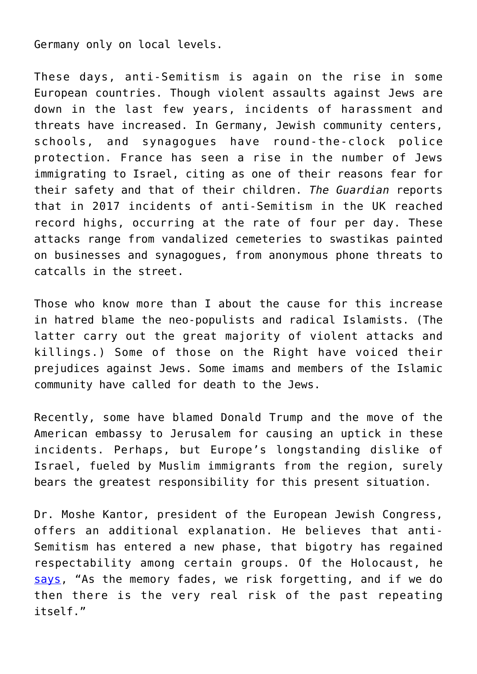Germany only on local levels.

These days, anti-Semitism is again on the rise in some European countries. Though violent assaults against Jews are down in the last few years, incidents of harassment and threats have increased. In Germany, Jewish community centers, schools, and synagogues have round-the-clock police protection. France has seen a rise in the number of Jews immigrating to Israel, citing as one of their reasons fear for their safety and that of their children. *The Guardian* reports that in 2017 incidents of anti-Semitism in the UK reached record highs, occurring at the rate of four per day. These attacks range from vandalized cemeteries to swastikas painted on businesses and synagogues, from anonymous phone threats to catcalls in the street.

Those who know more than I about the cause for this increase in hatred blame the neo-populists and radical Islamists. (The latter carry out the great majority of violent attacks and killings.) Some of those on the Right have voiced their prejudices against Jews. Some imams and members of the Islamic community have called for death to the Jews.

Recently, some have blamed Donald Trump and the move of the American embassy to Jerusalem for causing an uptick in these incidents. Perhaps, but Europe's longstanding dislike of Israel, fueled by Muslim immigrants from the region, surely bears the greatest responsibility for this present situation.

Dr. Moshe Kantor, president of the European Jewish Congress, offers an additional explanation. He believes that anti-Semitism has entered a new phase, that bigotry has regained respectability among certain groups. Of the Holocaust, he [says](https://qz.com/1249794/european-jews-facing-anti-semitism-not-seen-since-the-second-world-war/), "As the memory fades, we risk forgetting, and if we do then there is the very real risk of the past repeating itself."